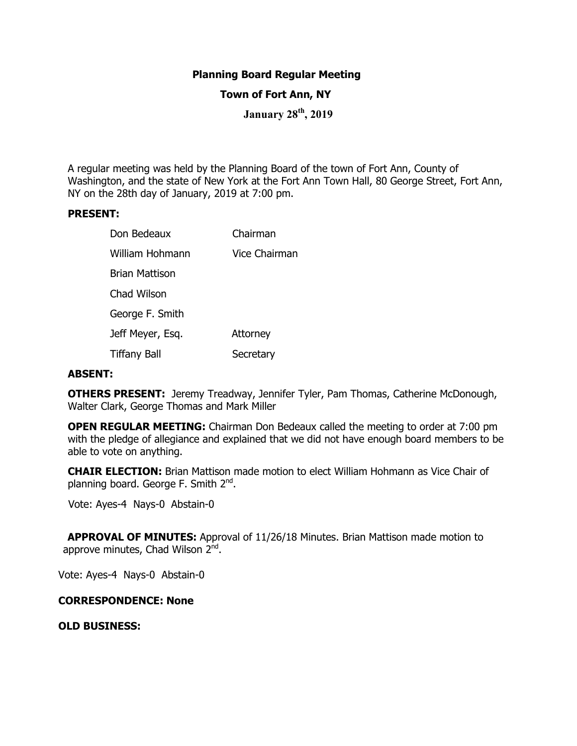### **Planning Board Regular Meeting**

#### **Town of Fort Ann, NY**

**January 28th, 2019** 

A regular meeting was held by the Planning Board of the town of Fort Ann, County of Washington, and the state of New York at the Fort Ann Town Hall, 80 George Street, Fort Ann, NY on the 28th day of January, 2019 at 7:00 pm.

#### **PRESENT:**

| Don Bedeaux         | Chairman             |
|---------------------|----------------------|
| William Hohmann     | <b>Vice Chairman</b> |
| Brian Mattison      |                      |
| Chad Wilson         |                      |
| George F. Smith     |                      |
| Jeff Meyer, Esq.    | Attorney             |
| <b>Tiffany Ball</b> | Secretary            |

#### **ABSENT:**

**OTHERS PRESENT:** Jeremy Treadway, Jennifer Tyler, Pam Thomas, Catherine McDonough, Walter Clark, George Thomas and Mark Miller

**OPEN REGULAR MEETING:** Chairman Don Bedeaux called the meeting to order at 7:00 pm with the pledge of allegiance and explained that we did not have enough board members to be able to vote on anything.

**CHAIR ELECTION:** Brian Mattison made motion to elect William Hohmann as Vice Chair of planning board. George F. Smith 2<sup>nd</sup>.

Vote: Ayes-4 Nays-0 Abstain-0

 **APPROVAL OF MINUTES:** Approval of 11/26/18 Minutes. Brian Mattison made motion to approve minutes, Chad Wilson 2<sup>nd</sup>.

Vote: Ayes-4 Nays-0 Abstain-0

#### **CORRESPONDENCE: None**

**OLD BUSINESS:**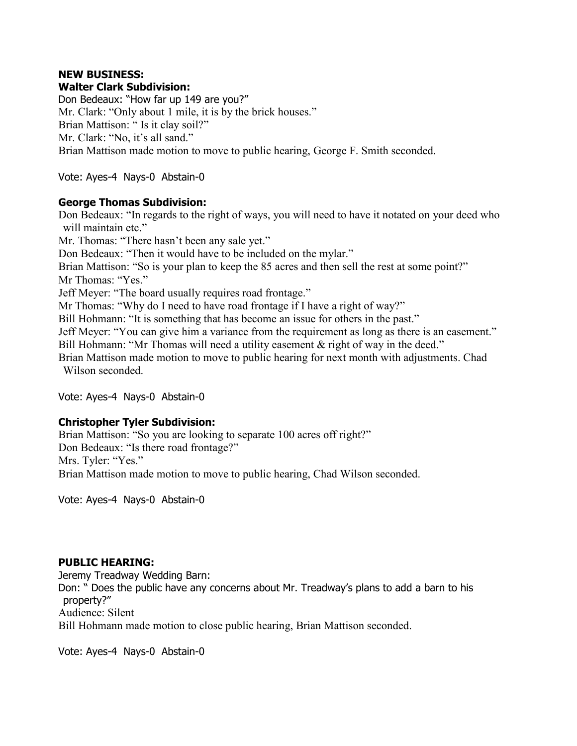### **NEW BUSINESS: Walter Clark Subdivision:**

Don Bedeaux: "How far up 149 are you?" Mr. Clark: "Only about 1 mile, it is by the brick houses." Brian Mattison: " Is it clay soil?" Mr. Clark: "No, it's all sand." Brian Mattison made motion to move to public hearing, George F. Smith seconded.

Vote: Ayes-4 Nays-0 Abstain-0

## **George Thomas Subdivision:**

Don Bedeaux: "In regards to the right of ways, you will need to have it notated on your deed who will maintain etc." Mr. Thomas: "There hasn't been any sale yet." Don Bedeaux: "Then it would have to be included on the mylar." Brian Mattison: "So is your plan to keep the 85 acres and then sell the rest at some point?" Mr Thomas: "Yes." Jeff Meyer: "The board usually requires road frontage." Mr Thomas: "Why do I need to have road frontage if I have a right of way?" Bill Hohmann: "It is something that has become an issue for others in the past." Jeff Meyer: "You can give him a variance from the requirement as long as there is an easement." Bill Hohmann: "Mr Thomas will need a utility easement & right of way in the deed." Brian Mattison made motion to move to public hearing for next month with adjustments. Chad Wilson seconded.

Vote: Ayes-4 Nays-0 Abstain-0

# **Christopher Tyler Subdivision:**

Brian Mattison: "So you are looking to separate 100 acres off right?" Don Bedeaux: "Is there road frontage?" Mrs. Tyler: "Yes." Brian Mattison made motion to move to public hearing, Chad Wilson seconded.

Vote: Ayes-4 Nays-0 Abstain-0

# **PUBLIC HEARING:**

Jeremy Treadway Wedding Barn: Don: " Does the public have any concerns about Mr. Treadway's plans to add a barn to his property?" Audience: Silent Bill Hohmann made motion to close public hearing, Brian Mattison seconded.

Vote: Ayes-4 Nays-0 Abstain-0